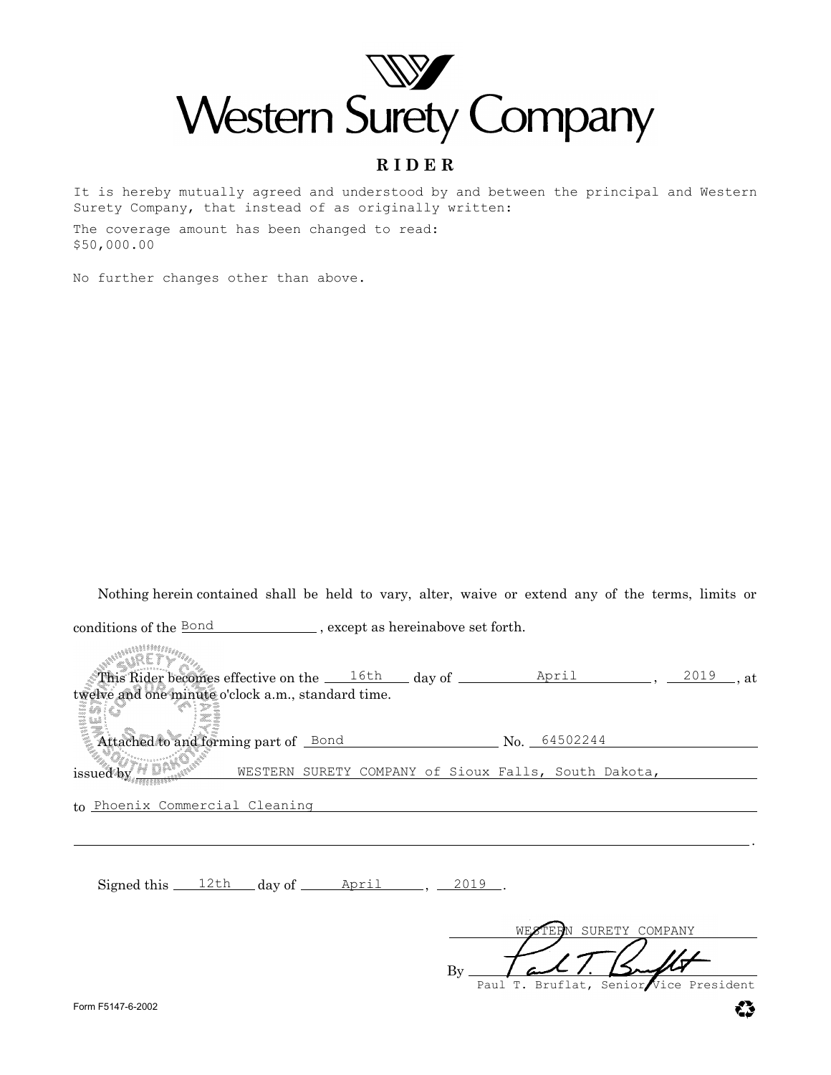

### **R I D E R**

It is hereby mutually agreed and understood by and between the principal and Western Surety Company, that instead of as originally written:

The coverage amount has been changed to read: \$50,000.00

No further changes other than above.

Nothing herein contained shall be held to vary, alter, waive or extend any of the terms, limits or

conditions of the **Bond** except as hereinabove set forth.

**WANDHAMM** WRETY. This Rider becomes effective on the  $\frac{16th}{\text{day of}}$  day of  $\frac{\text{April}}{\text{Myril}}$ ,  $\frac{2019}{\text{day of}}$ , at twelve and one minute o'clock a.m., standard time. Attached to and forming part of  $\rule{1em}{0.3em} \begin{array}{l} \text{Bond} \end{array}$  No.  $\rule{1em}{0.3em} \begin{array}{l} \text{A} \text{A} \text{B} \text{C} \text{D} \text{A} \text{D} \text{A} \text{D} \text{A} \text{D} \text{A} \text{D} \text{A} \text{D} \text{A} \text{D} \text{A} \text{D} \text{A} \text{D} \text{A} \text{D} \text{D} \text{A} \text{D} \text{D$ issued by Financial WESTERN SURETY COMPANY of Sioux Falls, South Dakota,

to <u>Phoenix Commercial Cleaning</u>

 ${\rm Signal\ this} \_\_12{\rm th} \_\_day\ of \_\_April \_\_ , \_2019 \_\_ .$ 

By SURETY COMPANY

Senior Vice President

.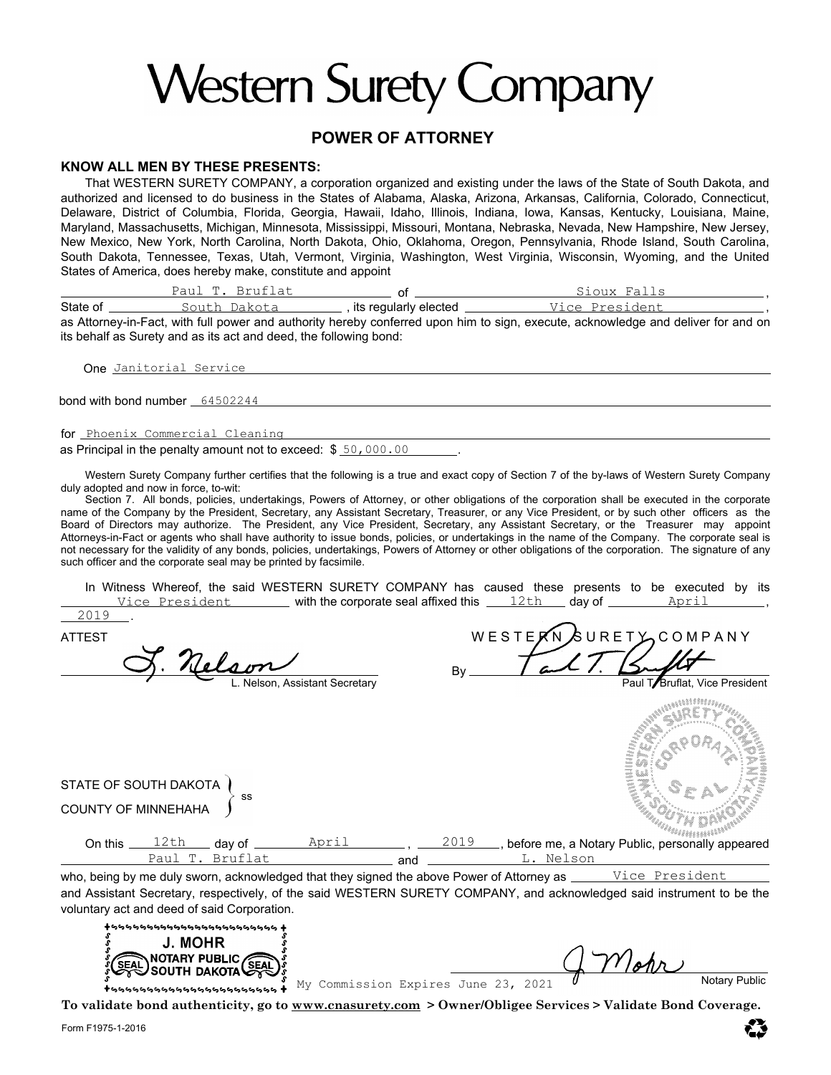# **Western Surety Company**

#### **POWER OF ATTORNEY**

#### **KNOW ALL MEN BY THESE PRESENTS:**

That WESTERN SURETY COMPANY, a corporation organized and existing under the laws of the State of South Dakota, and authorized and licensed to do business in the States of Alabama, Alaska, Arizona, Arkansas, California, Colorado, Connecticut, Delaware, District of Columbia, Florida, Georgia, Hawaii, Idaho, Illinois, Indiana, Iowa, Kansas, Kentucky, Louisiana, Maine, Maryland, Massachusetts, Michigan, Minnesota, Mississippi, Missouri, Montana, Nebraska, Nevada, New Hampshire, New Jersey, New Mexico, New York, North Carolina, North Dakota, Ohio, Oklahoma, Oregon, Pennsylvania, Rhode Island, South Carolina, South Dakota, Tennessee, Texas, Utah, Vermont, Virginia, Washington, West Virginia, Wisconsin, Wyoming, and the United States of America, does hereby make, constitute and appoint

of State of \_\_\_\_\_\_\_\_\_\_\_\_South\_Dakota\_\_\_\_\_\_\_\_\_\_,its regularly elected \_\_\_\_\_\_\_\_\_\_\_\_\_\_\_\_\_\_\_\_\_\_\_\_\_\_\_\_\_\_\_\_\_\_, , <u>Paul T. Bruflat</u> South Dakota Vice President Sioux Falls

as Attorney-in-Fact, with full power and authority hereby conferred upon him to sign, execute, acknowledge and deliver for and on its behalf as Surety and as its act and deed, the following bond:

**One** <u>Janitorial Service</u>

bond with bond number 64502244

for <u>Phoenix Commercial Cleaning</u>

as Principal in the penalty amount not to exceed: \$ 50,000.00 \_\_\_\_\_\_.

Western Surety Company further certifies that the following is a true and exact copy of Section 7 of the by-laws of Western Surety Company duly adopted and now in force, to-wit:

Section 7. All bonds, policies, undertakings, Powers of Attorney, or other obligations of the corporation shall be executed in the corporate name of the Company by the President, Secretary, any Assistant Secretary, Treasurer, or any Vice President, or by such other officers as the Board of Directors may authorize. The President, any Vice President, Secretary, any Assistant Secretary, or the Treasurer may appoint Attorneys-in-Fact or agents who shall have authority to issue bonds, policies, or undertakings in the name of the Company. The corporate seal is not necessary for the validity of any bonds, policies, undertakings, Powers of Attorney or other obligations of the corporation. The signature of any such officer and the corporate seal may be printed by facsimile.

 $\frac{\text{yice President}}{\text{yice }}$  with the corporate seal affixed this  $\frac{\text{12th}}{\text{day }}$  day of  $\frac{\text{April}}{\text{yote }}$  , In Witness Whereof, the said WESTERN SURETY COMPANY has caused these presents to be executed by its

ATTEST AND REST EXALURE TO MEST EXAMPLE TO MEST EXAMPLE TO MEST OF A N Y J. nelson By Nelson, Assistant Secretary **Paul T. A. Bruflat, Vice President** angan STATE OF SOUTH DAKOTA ) ss COUNTY OF MINNEHAHA On this \_\_\_\_12th \_\_\_\_day of \_\_\_\_\_\_\_\_\_April \_\_\_\_\_\_\_\_\_, \_\_\_\_2019 \_\_\_, before me, a Notary Public, personally appeared L. Nelson and Paul T. Bruflat

who, being by me duly sworn, acknowledged that they signed the above Power of Attorney as Vice President and Assistant Secretary, respectively, of the said WESTERN SURETY COMPANY, and acknowledged said instrument to be the voluntary act and deed of said Corporation.



**To validate bond authenticity, go to www.cnasurety.com > Owner/Obligee Services > Validate Bond Coverage.**

2019

.